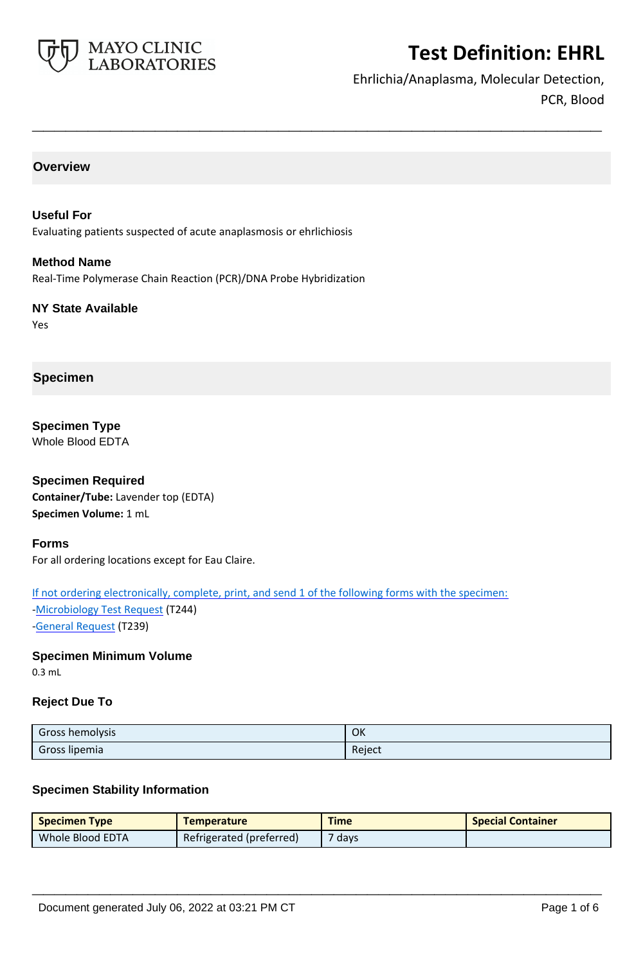

Ehrlichia/Anaplasma, Molecular Detection, PCR, Blood

## **Overview**

**Useful For** Evaluating patients suspected of acute anaplasmosis or ehrlichiosis

**Method Name** Real-Time Polymerase Chain Reaction (PCR)/DNA Probe Hybridization

**NY State Available** Yes

## **Specimen**

**Specimen Type** Whole Blood EDTA

**Specimen Required Container/Tube:** Lavender top (EDTA) **Specimen Volume:** 1 mL

#### **Forms**

For all ordering locations except for Eau Claire.

If not ordering electronically, complete, print, and send 1 of the following forms with the specimen:

[-Microbiology Test Request](https://www.mayocliniclabs.com/it-mmfiles/Microbiology_Test_Request_Form.pdf) (T244) [-General Request](https://www.mayocliniclabs.com/~/media/it-mmfiles/special-instructions/general-request-form.pdf) (T239)

**Specimen Minimum Volume**

0.3 mL

### **Reject Due To**

| Gross hemolysis | OK     |
|-----------------|--------|
| Gross lipemia   | Reject |

**\_\_\_\_\_\_\_\_\_\_\_\_\_\_\_\_\_\_\_\_\_\_\_\_\_\_\_\_\_\_\_\_\_\_\_\_\_\_\_\_\_\_\_\_\_\_\_\_\_\_\_**

## **Specimen Stability Information**

| <b>Specimen Type</b> | <b>Temperature</b>       | <b>Time</b> | <b>Special Container</b> |
|----------------------|--------------------------|-------------|--------------------------|
| Whole Blood EDTA     | Refrigerated (preferred) | 7 days      |                          |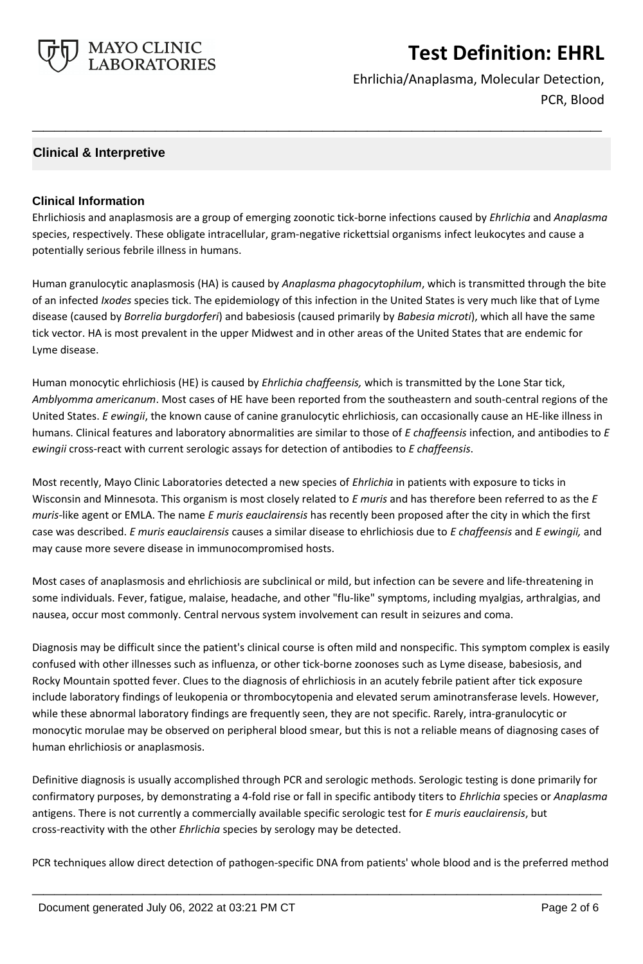

Ehrlichia/Anaplasma, Molecular Detection, PCR, Blood

## **Clinical & Interpretive**

## **Clinical Information**

Ehrlichiosis and anaplasmosis are a group of emerging zoonotic tick-borne infections caused by *Ehrlichia* and *Anaplasma* species, respectively. These obligate intracellular, gram-negative rickettsial organisms infect leukocytes and cause a potentially serious febrile illness in humans.

**\_\_\_\_\_\_\_\_\_\_\_\_\_\_\_\_\_\_\_\_\_\_\_\_\_\_\_\_\_\_\_\_\_\_\_\_\_\_\_\_\_\_\_\_\_\_\_\_\_\_\_**

Human granulocytic anaplasmosis (HA) is caused by *Anaplasma phagocytophilum*, which is transmitted through the bite of an infected *Ixodes* species tick. The epidemiology of this infection in the United States is very much like that of Lyme disease (caused by *Borrelia burgdorferi*) and babesiosis (caused primarily by *Babesia microti*), which all have the same tick vector. HA is most prevalent in the upper Midwest and in other areas of the United States that are endemic for Lyme disease.

Human monocytic ehrlichiosis (HE) is caused by *Ehrlichia chaffeensis,* which is transmitted by the Lone Star tick, *Amblyomma americanum*. Most cases of HE have been reported from the southeastern and south-central regions of the United States. *E ewingii*, the known cause of canine granulocytic ehrlichiosis, can occasionally cause an HE-like illness in humans. Clinical features and laboratory abnormalities are similar to those of *E chaffeensis* infection, and antibodies to *E ewingii* cross-react with current serologic assays for detection of antibodies to *E chaffeensis*.

Most recently, Mayo Clinic Laboratories detected a new species of *Ehrlichia* in patients with exposure to ticks in Wisconsin and Minnesota. This organism is most closely related to *E muris* and has therefore been referred to as the *E muris-*like agent or EMLA. The name *E muris eauclairensis* has recently been proposed after the city in which the first case was described. *E muris eauclairensis* causes a similar disease to ehrlichiosis due to *E chaffeensis* and *E ewingii,* and may cause more severe disease in immunocompromised hosts.

Most cases of anaplasmosis and ehrlichiosis are subclinical or mild, but infection can be severe and life-threatening in some individuals. Fever, fatigue, malaise, headache, and other "flu-like" symptoms, including myalgias, arthralgias, and nausea, occur most commonly. Central nervous system involvement can result in seizures and coma.

Diagnosis may be difficult since the patient's clinical course is often mild and nonspecific. This symptom complex is easily confused with other illnesses such as influenza, or other tick-borne zoonoses such as Lyme disease, babesiosis, and Rocky Mountain spotted fever. Clues to the diagnosis of ehrlichiosis in an acutely febrile patient after tick exposure include laboratory findings of leukopenia or thrombocytopenia and elevated serum aminotransferase levels. However, while these abnormal laboratory findings are frequently seen, they are not specific. Rarely, intra-granulocytic or monocytic morulae may be observed on peripheral blood smear, but this is not a reliable means of diagnosing cases of human ehrlichiosis or anaplasmosis.

Definitive diagnosis is usually accomplished through PCR and serologic methods. Serologic testing is done primarily for confirmatory purposes, by demonstrating a 4-fold rise or fall in specific antibody titers to *Ehrlichia* species or *Anaplasma* antigens. There is not currently a commercially available specific serologic test for *E muris eauclairensis*, but cross-reactivity with the other *Ehrlichia* species by serology may be detected.

PCR techniques allow direct detection of pathogen-specific DNA from patients' whole blood and is the preferred method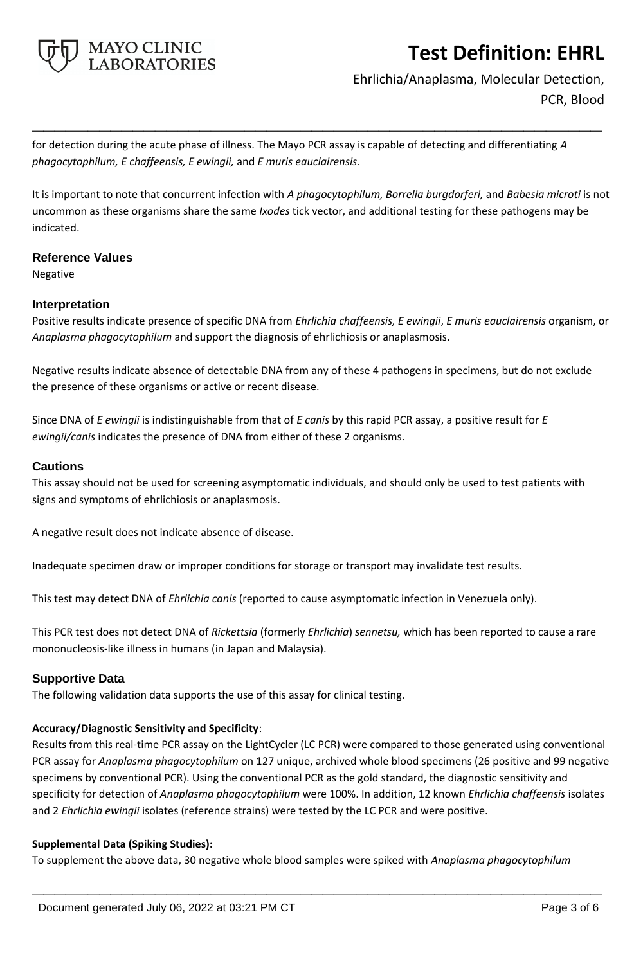

Ehrlichia/Anaplasma, Molecular Detection, PCR, Blood

for detection during the acute phase of illness. The Mayo PCR assay is capable of detecting and differentiating *A phagocytophilum, E chaffeensis, E ewingii,* and *E muris eauclairensis.*

It is important to note that concurrent infection with *A phagocytophilum, Borrelia burgdorferi,* and *Babesia microti* is not uncommon as these organisms share the same *Ixodes* tick vector, and additional testing for these pathogens may be indicated.

**\_\_\_\_\_\_\_\_\_\_\_\_\_\_\_\_\_\_\_\_\_\_\_\_\_\_\_\_\_\_\_\_\_\_\_\_\_\_\_\_\_\_\_\_\_\_\_\_\_\_\_**

### **Reference Values**

Negative

### **Interpretation**

Positive results indicate presence of specific DNA from *Ehrlichia chaffeensis, E ewingii*, *E muris eauclairensis* organism, or *Anaplasma phagocytophilum* and support the diagnosis of ehrlichiosis or anaplasmosis.

Negative results indicate absence of detectable DNA from any of these 4 pathogens in specimens, but do not exclude the presence of these organisms or active or recent disease.

Since DNA of *E ewingii* is indistinguishable from that of *E canis* by this rapid PCR assay, a positive result for *E ewingii/canis* indicates the presence of DNA from either of these 2 organisms.

#### **Cautions**

This assay should not be used for screening asymptomatic individuals, and should only be used to test patients with signs and symptoms of ehrlichiosis or anaplasmosis.

A negative result does not indicate absence of disease.

Inadequate specimen draw or improper conditions for storage or transport may invalidate test results.

This test may detect DNA of *Ehrlichia canis* (reported to cause asymptomatic infection in Venezuela only).

This PCR test does not detect DNA of *Rickettsia* (formerly *Ehrlichia*) *sennetsu,* which has been reported to cause a rare mononucleosis-like illness in humans (in Japan and Malaysia).

## **Supportive Data**

The following validation data supports the use of this assay for clinical testing.

#### **Accuracy/Diagnostic Sensitivity and Specificity**:

Results from this real-time PCR assay on the LightCycler (LC PCR) were compared to those generated using conventional PCR assay for *Anaplasma phagocytophilum* on 127 unique, archived whole blood specimens (26 positive and 99 negative specimens by conventional PCR). Using the conventional PCR as the gold standard, the diagnostic sensitivity and specificity for detection of *Anaplasma phagocytophilum* were 100%. In addition, 12 known *Ehrlichia chaffeensis* isolates and 2 *Ehrlichia ewingii* isolates (reference strains) were tested by the LC PCR and were positive.

#### **Supplemental Data (Spiking Studies):**

To supplement the above data, 30 negative whole blood samples were spiked with *Anaplasma phagocytophilum*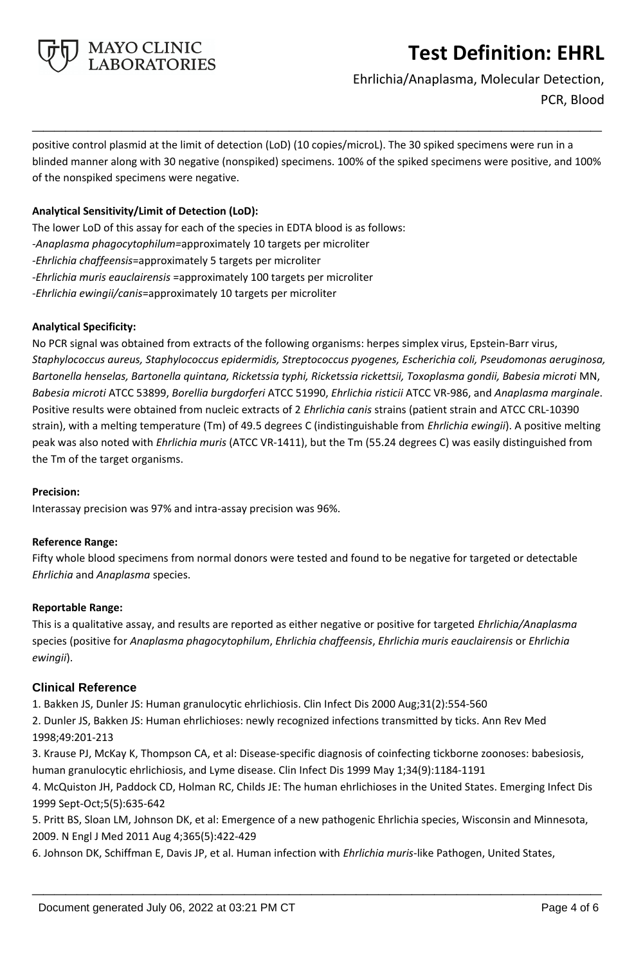

Ehrlichia/Anaplasma, Molecular Detection, PCR, Blood

positive control plasmid at the limit of detection (LoD) (10 copies/microL). The 30 spiked specimens were run in a blinded manner along with 30 negative (nonspiked) specimens. 100% of the spiked specimens were positive, and 100% of the nonspiked specimens were negative.

**\_\_\_\_\_\_\_\_\_\_\_\_\_\_\_\_\_\_\_\_\_\_\_\_\_\_\_\_\_\_\_\_\_\_\_\_\_\_\_\_\_\_\_\_\_\_\_\_\_\_\_**

## **Analytical Sensitivity/Limit of Detection (LoD):**

The lower LoD of this assay for each of the species in EDTA blood is as follows: -*Anaplasma phagocytophilum=*approximately 10 targets per microliter -*Ehrlichia chaffeensis*=approximately 5 targets per microliter -*Ehrlichia muris eauclairensis* =approximately 100 targets per microliter -*Ehrlichia ewingii/canis*=approximately 10 targets per microliter

### **Analytical Specificity:**

No PCR signal was obtained from extracts of the following organisms: herpes simplex virus, Epstein-Barr virus, *Staphylococcus aureus, Staphylococcus epidermidis, Streptococcus pyogenes, Escherichia coli, Pseudomonas aeruginosa, Bartonella henselas, Bartonella quintana, Ricketssia typhi, Ricketssia rickettsii, Toxoplasma gondii, Babesia microti* MN, *Babesia microti* ATCC 53899, *Borellia burgdorferi* ATCC 51990, *Ehrlichia risticii* ATCC VR-986, and *Anaplasma marginale*. Positive results were obtained from nucleic extracts of 2 *Ehrlichia canis* strains (patient strain and ATCC CRL-10390 strain), with a melting temperature (Tm) of 49.5 degrees C (indistinguishable from *Ehrlichia ewingii*). A positive melting peak was also noted with *Ehrlichia muris* (ATCC VR-1411), but the Tm (55.24 degrees C) was easily distinguished from the Tm of the target organisms.

#### **Precision:**

Interassay precision was 97% and intra-assay precision was 96%.

## **Reference Range:**

Fifty whole blood specimens from normal donors were tested and found to be negative for targeted or detectable *Ehrlichia* and *Anaplasma* species.

#### **Reportable Range:**

This is a qualitative assay, and results are reported as either negative or positive for targeted *Ehrlichia/Anaplasma*  species (positive for *Anaplasma phagocytophilum*, *Ehrlichia chaffeensis*, *Ehrlichia muris eauclairensis* or *Ehrlichia ewingii*).

## **Clinical Reference**

1. Bakken JS, Dunler JS: Human granulocytic ehrlichiosis. Clin Infect Dis 2000 Aug;31(2):554-560

2. Dunler JS, Bakken JS: Human ehrlichioses: newly recognized infections transmitted by ticks. Ann Rev Med 1998;49:201-213

3. Krause PJ, McKay K, Thompson CA, et al: Disease-specific diagnosis of coinfecting tickborne zoonoses: babesiosis, human granulocytic ehrlichiosis, and Lyme disease. Clin Infect Dis 1999 May 1;34(9):1184-1191

4. McQuiston JH, Paddock CD, Holman RC, Childs JE: The human ehrlichioses in the United States. Emerging Infect Dis 1999 Sept-Oct;5(5):635-642

5. Pritt BS, Sloan LM, Johnson DK, et al: Emergence of a new pathogenic Ehrlichia species, Wisconsin and Minnesota, 2009. N Engl J Med 2011 Aug 4;365(5):422-429

**\_\_\_\_\_\_\_\_\_\_\_\_\_\_\_\_\_\_\_\_\_\_\_\_\_\_\_\_\_\_\_\_\_\_\_\_\_\_\_\_\_\_\_\_\_\_\_\_\_\_\_**

6. Johnson DK, Schiffman E, Davis JP, et al. Human infection with *Ehrlichia muris-*like Pathogen, United States,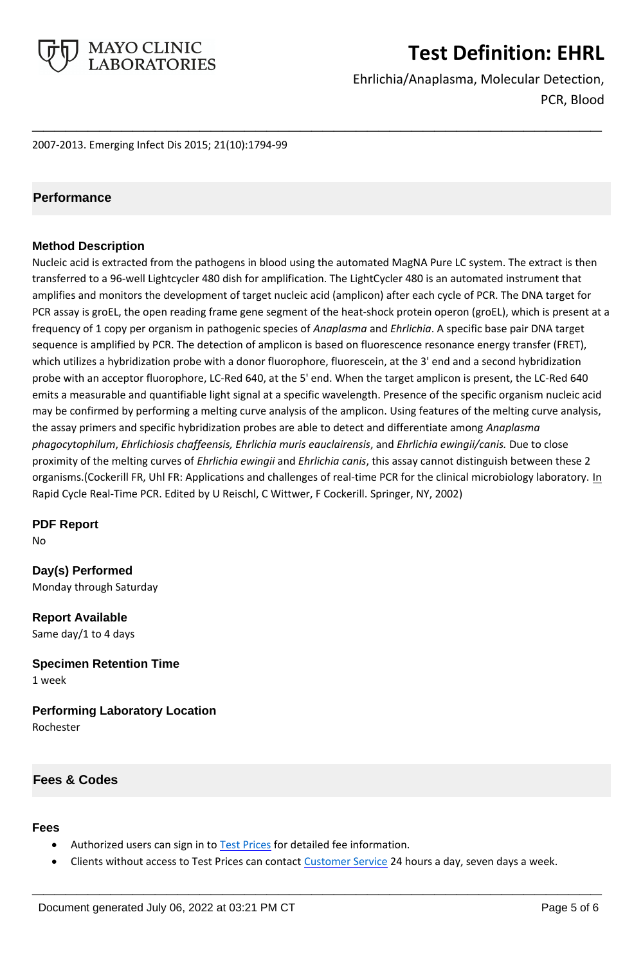

Ehrlichia/Anaplasma, Molecular Detection, PCR, Blood

2007-2013. Emerging Infect Dis 2015; 21(10):1794-99

## **Performance**

## **Method Description**

Nucleic acid is extracted from the pathogens in blood using the automated MagNA Pure LC system. The extract is then transferred to a 96-well Lightcycler 480 dish for amplification. The LightCycler 480 is an automated instrument that amplifies and monitors the development of target nucleic acid (amplicon) after each cycle of PCR. The DNA target for PCR assay is groEL, the open reading frame gene segment of the heat-shock protein operon (groEL), which is present at a frequency of 1 copy per organism in pathogenic species of *Anaplasma* and *Ehrlichia*. A specific base pair DNA target sequence is amplified by PCR. The detection of amplicon is based on fluorescence resonance energy transfer (FRET), which utilizes a hybridization probe with a donor fluorophore, fluorescein, at the 3' end and a second hybridization probe with an acceptor fluorophore, LC-Red 640, at the 5' end. When the target amplicon is present, the LC-Red 640 emits a measurable and quantifiable light signal at a specific wavelength. Presence of the specific organism nucleic acid may be confirmed by performing a melting curve analysis of the amplicon. Using features of the melting curve analysis, the assay primers and specific hybridization probes are able to detect and differentiate among *Anaplasma phagocytophilum*, *Ehrlichiosis chaffeensis, Ehrlichia muris eauclairensis*, and *Ehrlichia ewingii/canis.* Due to close proximity of the melting curves of *Ehrlichia ewingii* and *Ehrlichia canis*, this assay cannot distinguish between these 2 organisms.(Cockerill FR, Uhl FR: Applications and challenges of real-time PCR for the clinical microbiology laboratory. In Rapid Cycle Real-Time PCR. Edited by U Reischl, C Wittwer, F Cockerill. Springer, NY, 2002)

**\_\_\_\_\_\_\_\_\_\_\_\_\_\_\_\_\_\_\_\_\_\_\_\_\_\_\_\_\_\_\_\_\_\_\_\_\_\_\_\_\_\_\_\_\_\_\_\_\_\_\_**

**PDF Report**

No

**Day(s) Performed** Monday through Saturday

**Report Available** Same day/1 to 4 days

**Specimen Retention Time** 1 week

**Performing Laboratory Location** Rochester

## **Fees & Codes**

#### **Fees**

- Authorized users can sign in to [Test Prices](https://www.mayocliniclabs.com/customer-service/client-price-lookup/index.html?unit_code=EHRL) for detailed fee information.
- Clients without access to Test Prices can contact [Customer Service](http://www.mayocliniclabs.com/customer-service/contacts.html) 24 hours a day, seven days a week.